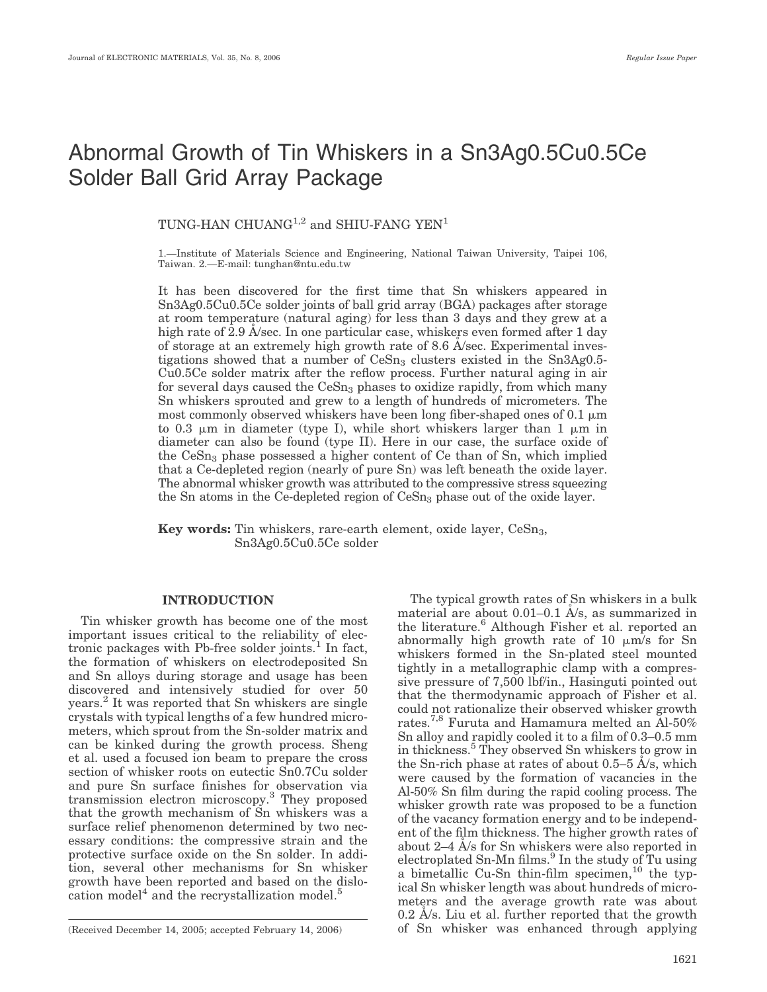# Abnormal Growth of Tin Whiskers in a Sn3Ag0.5Cu0.5Ce Solder Ball Grid Array Package

TUNG-HAN CHUANG<sup>1,2</sup> and SHIU-FANG YEN<sup>1</sup>

1.—Institute of Materials Science and Engineering, National Taiwan University, Taipei 106, Taiwan. 2.—E-mail: tunghan@ntu.edu.tw

It has been discovered for the first time that Sn whiskers appeared in Sn3Ag0.5Cu0.5Ce solder joints of ball grid array (BGA) packages after storage at room temperature (natural aging) for less than 3 days and they grew at a high rate of  $2.9$  Å/sec. In one particular case, whiskers even formed after 1 day of storage at an extremely high growth rate of  $8.6$  Å/sec. Experimental investigations showed that a number of  $Cesn<sub>3</sub>$  clusters existed in the  $Sn<sub>3</sub>Ag0.5-$ Cu0.5Ce solder matrix after the reflow process. Further natural aging in air for several days caused the CeSn<sub>3</sub> phases to oxidize rapidly, from which many Sn whiskers sprouted and grew to a length of hundreds of micrometers. The most commonly observed whiskers have been long fiber-shaped ones of 0.1  $\mu$ m to 0.3  $\mu$ m in diameter (type I), while short whiskers larger than 1  $\mu$ m in diameter can also be found (type II). Here in our case, the surface oxide of the  $CeSn<sub>3</sub>$  phase possessed a higher content of Ce than of Sn, which implied that a Ce-depleted region (nearly of pure Sn) was left beneath the oxide layer. The abnormal whisker growth was attributed to the compressive stress squeezing the Sn atoms in the Ce-depleted region of  $CeSn<sub>3</sub>$  phase out of the oxide layer.

Key words: Tin whiskers, rare-earth element, oxide layer, CeSn<sub>3</sub>, Sn3Ag0.5Cu0.5Ce solder

### INTRODUCTION

Tin whisker growth has become one of the most important issues critical to the reliability of electronic packages with Pb-free solder joints.<sup>1</sup> In fact, the formation of whiskers on electrodeposited Sn and Sn alloys during storage and usage has been discovered and intensively studied for over 50 years.<sup>2</sup> It was reported that Sn whiskers are single crystals with typical lengths of a few hundred micrometers, which sprout from the Sn-solder matrix and can be kinked during the growth process. Sheng et al. used a focused ion beam to prepare the cross section of whisker roots on eutectic Sn0.7Cu solder and pure Sn surface finishes for observation via transmission electron microscopy.<sup>3</sup> They proposed that the growth mechanism of Sn whiskers was a surface relief phenomenon determined by two necessary conditions: the compressive strain and the protective surface oxide on the Sn solder. In addition, several other mechanisms for Sn whisker growth have been reported and based on the dislocation model<sup>4</sup> and the recrystallization model.<sup>5</sup>

The typical growth rates of Sn whiskers in a bulk material are about  $0.01-0.1$  Å/s, as summarized in the literature.<sup>6</sup> Although Fisher et al. reported an abnormally high growth rate of 10  $\mu$ m/s for Sn whiskers formed in the Sn-plated steel mounted tightly in a metallographic clamp with a compressive pressure of 7,500 lbf/in., Hasinguti pointed out that the thermodynamic approach of Fisher et al. could not rationalize their observed whisker growth rates.7,8 Furuta and Hamamura melted an Al-50% Sn alloy and rapidly cooled it to a film of 0.3–0.5 mm in thickness.5 They observed Sn whiskers to grow in the Sn-rich phase at rates of about  $0.5-5$  A/s, which were caused by the formation of vacancies in the Al-50% Sn film during the rapid cooling process. The whisker growth rate was proposed to be a function of the vacancy formation energy and to be independent of the film thickness. The higher growth rates of about  $2-4$  A/s for Sn whiskers were also reported in electroplated Sn-Mn films.<sup>9</sup> In the study of Tu using a bimetallic Cu-Sn thin-film specimen, $^{10}$  the typical Sn whisker length was about hundreds of micrometers and the average growth rate was about  $0.2$  A/s. Liu et al. further reported that the growth (Received December 14, 2005; accepted February 14, 2006) of Sn whisker was enhanced through applying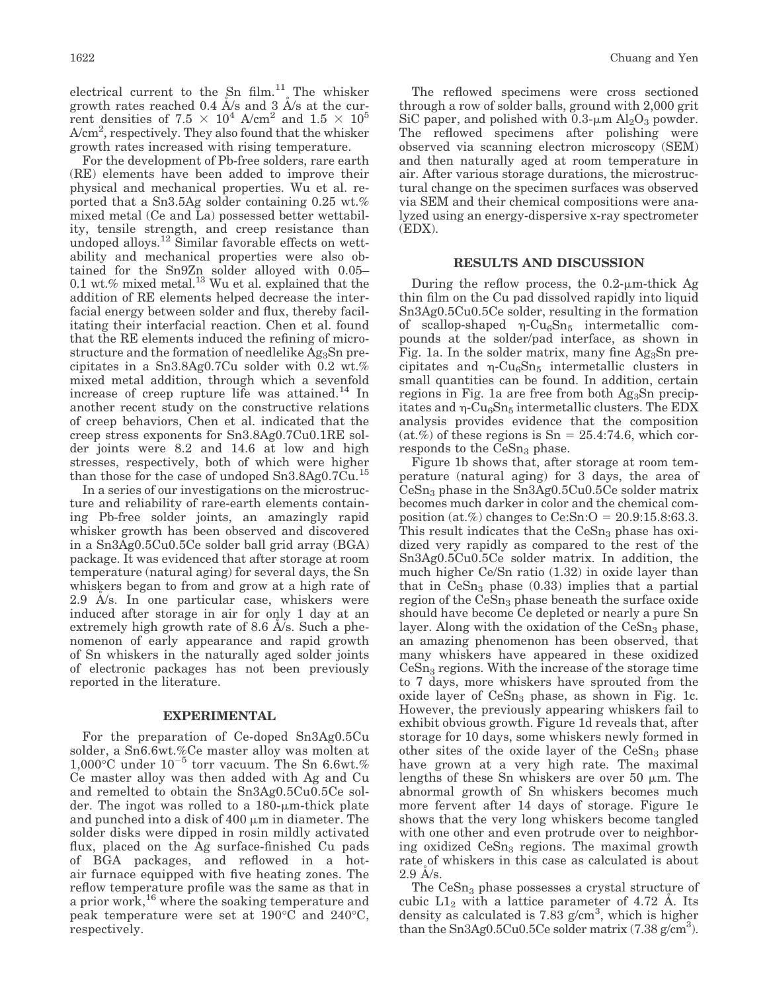electrical current to the Sn  $film.<sup>11</sup>$  The whisker growth rates reached 0.4  $\AA$ /s and 3  $\AA$ /s at the current densities of  $7.5 \times 10^4$  A/cm<sup>2</sup> and  $1.5 \times 10^5$ A/cm<sup>2</sup>, respectively. They also found that the whisker growth rates increased with rising temperature.

For the development of Pb-free solders, rare earth (RE) elements have been added to improve their physical and mechanical properties. Wu et al. reported that a Sn3.5Ag solder containing 0.25 wt.% mixed metal (Ce and La) possessed better wettability, tensile strength, and creep resistance than undoped alloys.<sup>12</sup> Similar favorable effects on wettability and mechanical properties were also obtained for the Sn9Zn solder alloyed with 0.05– 0.1 wt.% mixed metal. $^{13}$  Wu et al. explained that the addition of RE elements helped decrease the interfacial energy between solder and flux, thereby facilitating their interfacial reaction. Chen et al. found that the RE elements induced the refining of microstructure and the formation of needlelike  $Ag<sub>3</sub>Sn$  precipitates in a Sn3.8Ag0.7Cu solder with 0.2 wt.% mixed metal addition, through which a sevenfold increase of creep rupture life was attained. $^{14}$  In another recent study on the constructive relations of creep behaviors, Chen et al. indicated that the creep stress exponents for Sn3.8Ag0.7Cu0.1RE solder joints were 8.2 and 14.6 at low and high stresses, respectively, both of which were higher than those for the case of undoped Sn3.8Ag0.7Cu.<sup>15</sup>

In a series of our investigations on the microstructure and reliability of rare-earth elements containing Pb-free solder joints, an amazingly rapid whisker growth has been observed and discovered in a Sn3Ag0.5Cu0.5Ce solder ball grid array (BGA) package. It was evidenced that after storage at room temperature (natural aging) for several days, the Sn whiskers began to from and grow at a high rate of 2.9 A/s. In one particular case, whiskers were induced after storage in air for only 1 day at an extremely high growth rate of 8.6  $A/s$ . Such a phenomenon of early appearance and rapid growth of Sn whiskers in the naturally aged solder joints of electronic packages has not been previously reported in the literature.

#### EXPERIMENTAL

For the preparation of Ce-doped Sn3Ag0.5Cu solder, a Sn6.6wt.%Ce master alloy was molten at  $1,000^{\circ}$ C under  $10^{-5}$  torr vacuum. The Sn 6.6wt.% Ce master alloy was then added with Ag and Cu and remelted to obtain the Sn3Ag0.5Cu0.5Ce solder. The ingot was rolled to a  $180$ - $\mu$ m-thick plate and punched into a disk of  $400 \mu m$  in diameter. The solder disks were dipped in rosin mildly activated flux, placed on the Ag surface-finished Cu pads of BGA packages, and reflowed in a hotair furnace equipped with five heating zones. The reflow temperature profile was the same as that in a prior work,<sup>16</sup> where the soaking temperature and peak temperature were set at 190°C and 240°C, respectively.

The reflowed specimens were cross sectioned through a row of solder balls, ground with 2,000 grit SiC paper, and polished with  $0.3$ - $\mu$ m Al<sub>2</sub>O<sub>3</sub> powder. The reflowed specimens after polishing were observed via scanning electron microscopy (SEM) and then naturally aged at room temperature in air. After various storage durations, the microstructural change on the specimen surfaces was observed via SEM and their chemical compositions were analyzed using an energy-dispersive x-ray spectrometer (EDX).

#### RESULTS AND DISCUSSION

During the reflow process, the  $0.2$ - $\mu$ m-thick Ag thin film on the Cu pad dissolved rapidly into liquid Sn3Ag0.5Cu0.5Ce solder, resulting in the formation of scallop-shaped  $\eta$ -Cu<sub>6</sub>Sn<sub>5</sub> intermetallic compounds at the solder/pad interface, as shown in Fig. 1a. In the solder matrix, many fine  $Ag<sub>3</sub>Sn$  precipitates and  $\eta$ -Cu<sub>6</sub>Sn<sub>5</sub> intermetallic clusters in small quantities can be found. In addition, certain regions in Fig. 1a are free from both  $Ag<sub>3</sub>Sn$  precipitates and  $\eta$ -Cu<sub>6</sub>Sn<sub>5</sub> intermetallic clusters. The EDX analysis provides evidence that the composition  $(at.\%)$  of these regions is Sn = 25.4:74.6, which corresponds to the  $CeSn<sub>3</sub>$  phase.

Figure 1b shows that, after storage at room temperature (natural aging) for 3 days, the area of  $CeSn<sub>3</sub>$  phase in the Sn3Ag0.5Cu0.5Ce solder matrix becomes much darker in color and the chemical composition (at.%) changes to  $Ce:Sn:O = 20.9:15.8:63.3$ . This result indicates that the  $CeSn<sub>3</sub>$  phase has oxidized very rapidly as compared to the rest of the Sn3Ag0.5Cu0.5Ce solder matrix. In addition, the much higher Ce/Sn ratio (1.32) in oxide layer than that in  $CeSn<sub>3</sub>$  phase (0.33) implies that a partial region of the  $CeSn<sub>3</sub>$  phase beneath the surface oxide should have become Ce depleted or nearly a pure Sn layer. Along with the oxidation of the  $CeSn<sub>3</sub>$  phase, an amazing phenomenon has been observed, that many whiskers have appeared in these oxidized  $CeSn<sub>3</sub>$  regions. With the increase of the storage time to 7 days, more whiskers have sprouted from the oxide layer of  $CeSn<sub>3</sub>$  phase, as shown in Fig. 1c. However, the previously appearing whiskers fail to exhibit obvious growth. Figure 1d reveals that, after storage for 10 days, some whiskers newly formed in other sites of the oxide layer of the  $CeSn<sub>3</sub>$  phase have grown at a very high rate. The maximal lengths of these Sn whiskers are over 50  $\mu$ m. The abnormal growth of Sn whiskers becomes much more fervent after 14 days of storage. Figure 1e shows that the very long whiskers become tangled with one other and even protrude over to neighboring oxidized  $CeSn<sub>3</sub>$  regions. The maximal growth rate of whiskers in this case as calculated is about  $2.9$  A/s.

The CeSn<sub>3</sub> phase possesses a crystal structure of cubic  $L1_2$  with a lattice parameter of 4.72 A. Its density as calculated is  $7.\overline{8}3$  g/cm<sup>3</sup>, which is higher than the Sn3Ag0.5Cu0.5Ce solder matrix (7.38  $g/cm^3$ ).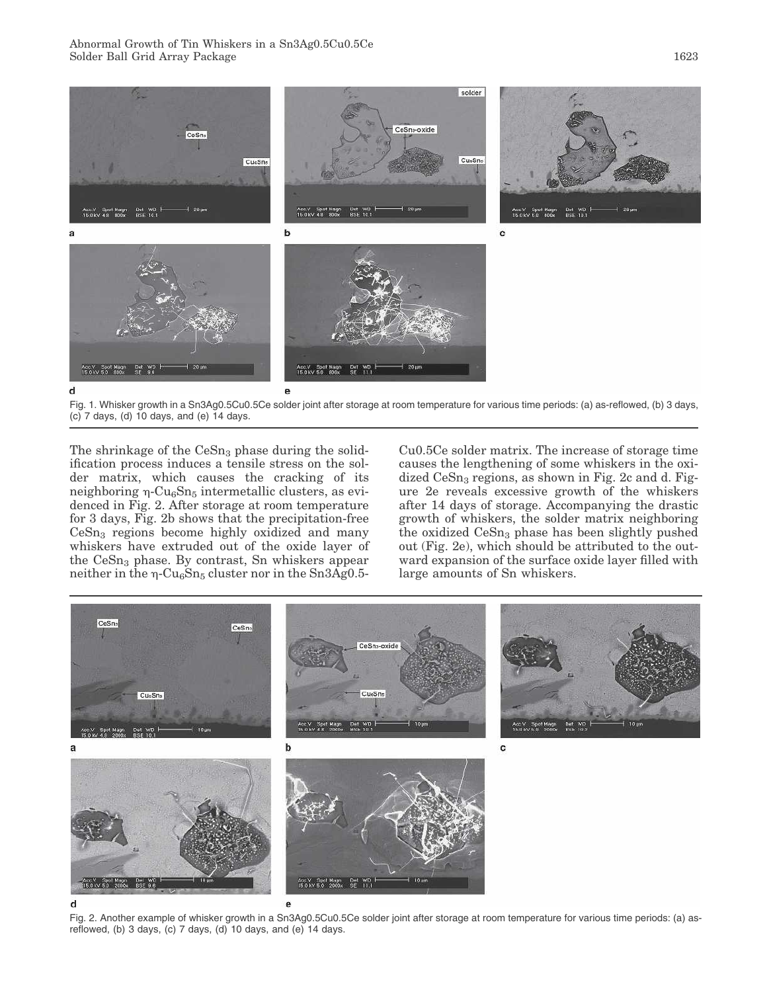

Fig. 1. Whisker growth in a Sn3Ag0.5Cu0.5Ce solder joint after storage at room temperature for various time periods: (a) as-reflowed, (b) 3 days,  $(c)$  7 days,  $(d)$  10 days, and  $(e)$  14 days.

The shrinkage of the  $CeSn<sub>3</sub>$  phase during the solidification process induces a tensile stress on the solder matrix, which causes the cracking of its neighboring  $\eta$ -Cu<sub>6</sub>Sn<sub>5</sub> intermetallic clusters, as evidenced in Fig. 2. After storage at room temperature for 3 days, Fig. 2b shows that the precipitation-free  $CeSn<sub>3</sub>$  regions become highly oxidized and many whiskers have extruded out of the oxide layer of the CeSn<sub>3</sub> phase. By contrast, Sn whiskers appear neither in the  $\eta$ -Cu<sub>6</sub>Sn<sub>5</sub> cluster nor in the Sn3Ag0.5Cu0.5Ce solder matrix. The increase of storage time causes the lengthening of some whiskers in the oxidized  $CeSn<sub>3</sub>$  regions, as shown in Fig. 2c and d. Figure 2e reveals excessive growth of the whiskers after 14 days of storage. Accompanying the drastic growth of whiskers, the solder matrix neighboring the oxidized  $CeSn<sub>3</sub>$  phase has been slightly pushed out (Fig. 2e), which should be attributed to the outward expansion of the surface oxide layer filled with large amounts of Sn whiskers.



Fig. 2. Another example of whisker growth in a Sn3Ag0.5Cu0.5Ce solder joint after storage at room temperature for various time periods: (a) asreflowed, (b) 3 days, (c) 7 days, (d) 10 days, and (e) 14 days.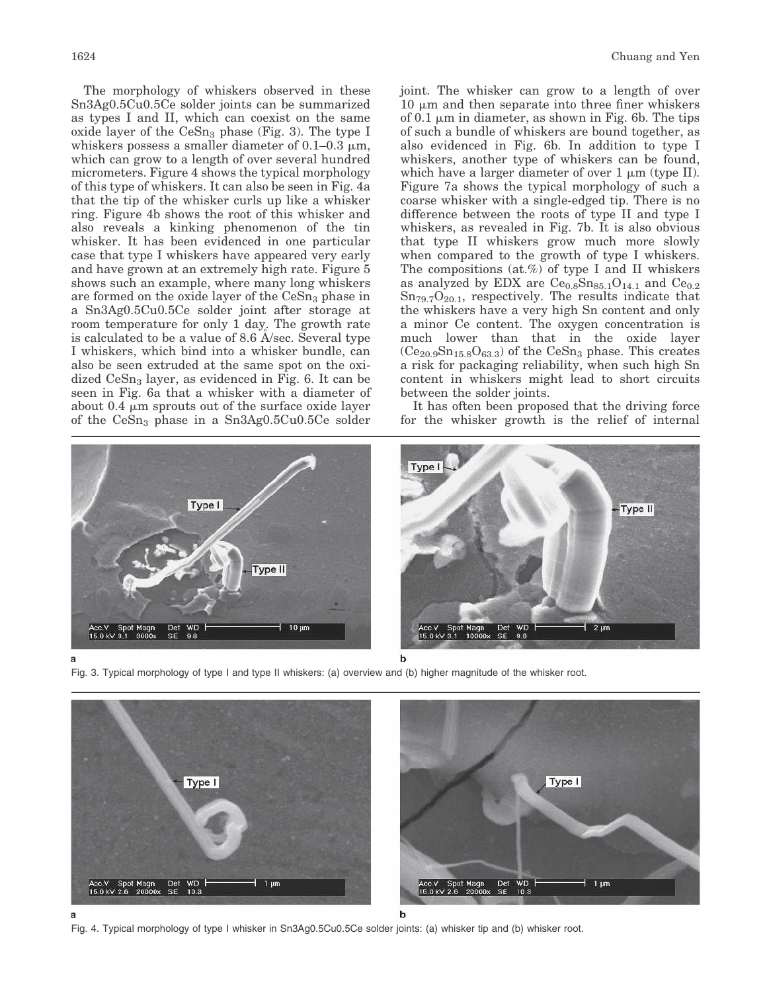The morphology of whiskers observed in these Sn3Ag0.5Cu0.5Ce solder joints can be summarized as types I and II, which can coexist on the same oxide layer of the  $CeSn<sub>3</sub>$  phase (Fig. 3). The type I whiskers possess a smaller diameter of  $0.1-0.3 \mu m$ , which can grow to a length of over several hundred micrometers. Figure 4 shows the typical morphology of this type of whiskers. It can also be seen in Fig. 4a that the tip of the whisker curls up like a whisker ring. Figure 4b shows the root of this whisker and also reveals a kinking phenomenon of the tin whisker. It has been evidenced in one particular case that type I whiskers have appeared very early and have grown at an extremely high rate. Figure 5 shows such an example, where many long whiskers are formed on the oxide layer of the  $CeSn<sub>3</sub>$  phase in a Sn3Ag0.5Cu0.5Ce solder joint after storage at room temperature for only 1 day. The growth rate is calculated to be a value of 8.6  $\AA$ /sec. Several type I whiskers, which bind into a whisker bundle, can also be seen extruded at the same spot on the oxidized  $CeSn<sub>3</sub>$  layer, as evidenced in Fig. 6. It can be seen in Fig. 6a that a whisker with a diameter of about 0.4  $\mu$ m sprouts out of the surface oxide layer of the  $CeSn<sub>3</sub>$  phase in a  $Sn3Ag0.5Cu0.5Ce$  solder

joint. The whisker can grow to a length of over  $10 \mu m$  and then separate into three finer whiskers of 0.1  $\mu$ m in diameter, as shown in Fig. 6b. The tips of such a bundle of whiskers are bound together, as also evidenced in Fig. 6b. In addition to type I whiskers, another type of whiskers can be found, which have a larger diameter of over  $1 \mu m$  (type II). Figure 7a shows the typical morphology of such a coarse whisker with a single-edged tip. There is no difference between the roots of type II and type I whiskers, as revealed in Fig. 7b. It is also obvious that type II whiskers grow much more slowly when compared to the growth of type I whiskers. The compositions (at.%) of type I and II whiskers as analyzed by EDX are  $Ce<sub>0.8</sub>Sn<sub>85.1</sub>O<sub>14.1</sub>$  and  $Ce<sub>0.2</sub>$  $\text{Sn}_{79.7}\text{O}_{20.1}$ , respectively. The results indicate that the whiskers have a very high Sn content and only a minor Ce content. The oxygen concentration is much lower than that in the oxide layer  $(Ce_{20.9}Sn_{15.8}O_{63.3})$  of the  $CeSn_3$  phase. This creates a risk for packaging reliability, when such high Sn content in whiskers might lead to short circuits between the solder joints.

It has often been proposed that the driving force for the whisker growth is the relief of internal



Fig. 3. Typical morphology of type I and type II whiskers: (a) overview and (b) higher magnitude of the whisker root.



Fig. 4. Typical morphology of type I whisker in Sn3Ag0.5Cu0.5Ce solder joints: (a) whisker tip and (b) whisker root.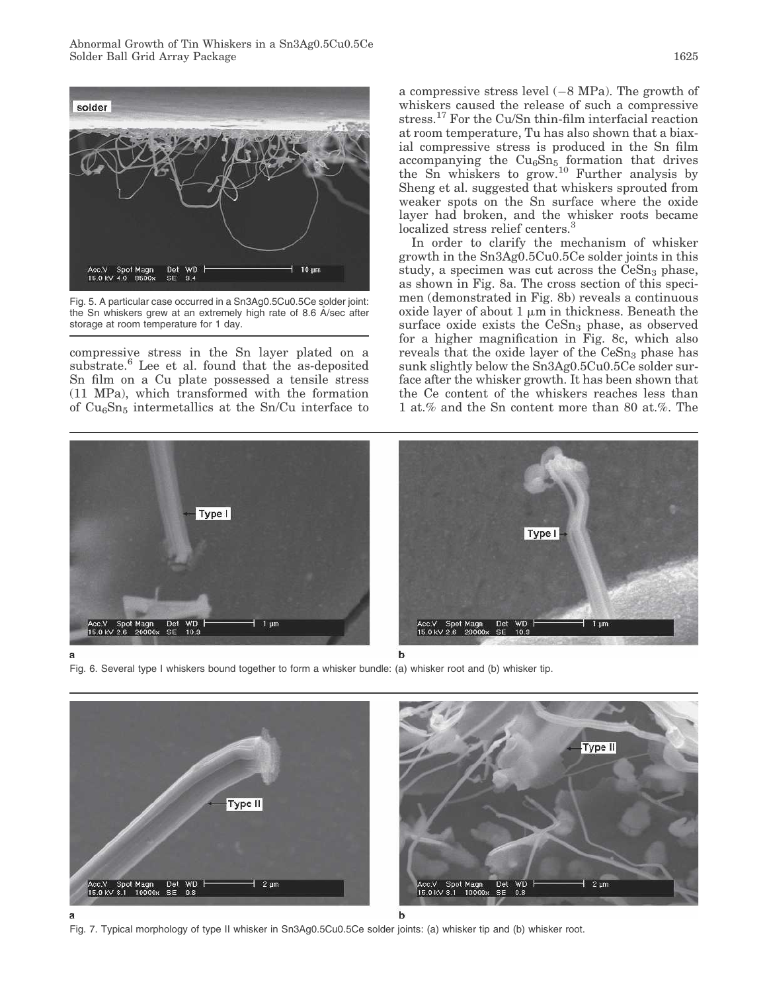Abnormal Growth of Tin Whiskers in a Sn3Ag0.5Cu0.5Ce Solder Ball Grid Array Package 1625



Fig. 5. A particular case occurred in a Sn3Ag0.5Cu0.5Ce solder joint: the Sn whiskers grew at an extremely high rate of 8.6 A/sec after storage at room temperature for 1 day.

compressive stress in the Sn layer plated on a substrate.<sup>6</sup> Lee et al. found that the as-deposited Sn film on a Cu plate possessed a tensile stress (11 MPa), which transformed with the formation of  $Cu<sub>6</sub>Sn<sub>5</sub>$  intermetallics at the Sn/Cu interface to a compressive stress level  $(-8 \text{ MPa})$ . The growth of whiskers caused the release of such a compressive stress. $^{17}$  For the Cu/Sn thin-film interfacial reaction at room temperature, Tu has also shown that a biaxial compressive stress is produced in the Sn film accompanying the  $Cu<sub>6</sub>Sn<sub>5</sub>$  formation that drives the Sn whiskers to grow.<sup>10</sup> Further analysis by Sheng et al. suggested that whiskers sprouted from weaker spots on the Sn surface where the oxide layer had broken, and the whisker roots became localized stress relief centers.<sup>3</sup>

In order to clarify the mechanism of whisker growth in the Sn3Ag0.5Cu0.5Ce solder joints in this study, a specimen was cut across the  $CeSn<sub>3</sub>$  phase, as shown in Fig. 8a. The cross section of this specimen (demonstrated in Fig. 8b) reveals a continuous oxide layer of about  $1 \mu m$  in thickness. Beneath the surface oxide exists the  $CeSn<sub>3</sub>$  phase, as observed for a higher magnification in Fig. 8c, which also reveals that the oxide layer of the  $CeSn<sub>3</sub>$  phase has sunk slightly below the Sn3Ag0.5Cu0.5Ce solder surface after the whisker growth. It has been shown that the Ce content of the whiskers reaches less than 1 at.% and the Sn content more than 80 at.%. The



Fig. 6. Several type I whiskers bound together to form a whisker bundle: (a) whisker root and (b) whisker tip.



Fig. 7. Typical morphology of type II whisker in Sn3Ag0.5Cu0.5Ce solder joints: (a) whisker tip and (b) whisker root.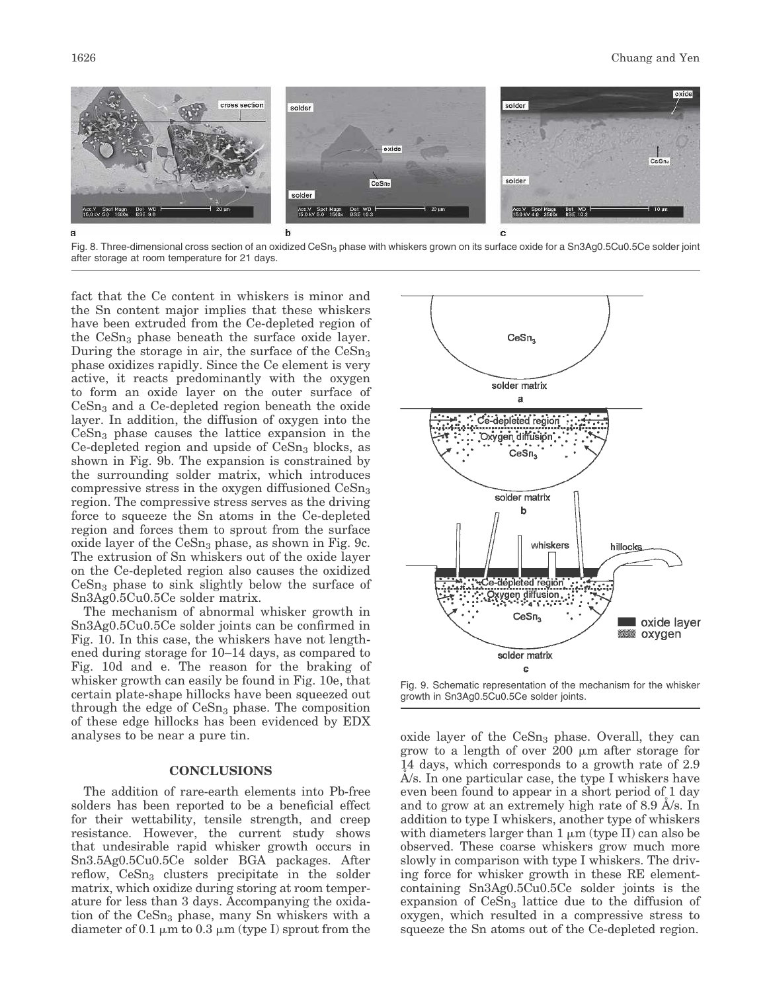

Fig. 8. Three-dimensional cross section of an oxidized CeSn<sub>3</sub> phase with whiskers grown on its surface oxide for a Sn3Ag0.5Cu0.5Ce solder joint after storage at room temperature for 21 days.

fact that the Ce content in whiskers is minor and the Sn content major implies that these whiskers have been extruded from the Ce-depleted region of the  $CeSn<sub>3</sub>$  phase beneath the surface oxide layer. During the storage in air, the surface of the  $CeSn<sub>3</sub>$ phase oxidizes rapidly. Since the Ce element is very active, it reacts predominantly with the oxygen to form an oxide layer on the outer surface of  $CeSn<sub>3</sub>$  and a Ce-depleted region beneath the oxide layer. In addition, the diffusion of oxygen into the  $CeSn<sub>3</sub>$  phase causes the lattice expansion in the Ce-depleted region and upside of  $CeSn<sub>3</sub>$  blocks, as shown in Fig. 9b. The expansion is constrained by the surrounding solder matrix, which introduces compressive stress in the oxygen diffusioned  $CeSn<sub>3</sub>$ region. The compressive stress serves as the driving force to squeeze the Sn atoms in the Ce-depleted region and forces them to sprout from the surface oxide layer of the  $CeSn<sub>3</sub>$  phase, as shown in Fig. 9c. The extrusion of Sn whiskers out of the oxide layer on the Ce-depleted region also causes the oxidized  $CeSn<sub>3</sub>$  phase to sink slightly below the surface of Sn3Ag0.5Cu0.5Ce solder matrix.

The mechanism of abnormal whisker growth in Sn3Ag0.5Cu0.5Ce solder joints can be confirmed in Fig. 10. In this case, the whiskers have not lengthened during storage for 10–14 days, as compared to Fig. 10d and e. The reason for the braking of whisker growth can easily be found in Fig. 10e, that certain plate-shape hillocks have been squeezed out through the edge of  $CeSn<sub>3</sub>$  phase. The composition of these edge hillocks has been evidenced by EDX analyses to be near a pure tin.

## CONCLUSIONS

The addition of rare-earth elements into Pb-free solders has been reported to be a beneficial effect for their wettability, tensile strength, and creep resistance. However, the current study shows that undesirable rapid whisker growth occurs in Sn3.5Ag0.5Cu0.5Ce solder BGA packages. After reflow,  $CeSn<sub>3</sub>$  clusters precipitate in the solder matrix, which oxidize during storing at room temperature for less than 3 days. Accompanying the oxidation of the  $CeSn<sub>3</sub>$  phase, many Sn whiskers with a diameter of 0.1  $\mu$ m to 0.3  $\mu$ m (type I) sprout from the



Fig. 9. Schematic representation of the mechanism for the whisker growth in Sn3Ag0.5Cu0.5Ce solder joints.

oxide layer of the  $CeSn<sub>3</sub>$  phase. Overall, they can grow to a length of over 200 mm after storage for 14 days, which corresponds to a growth rate of 2.9  $A$ /s. In one particular case, the type I whiskers have even been found to appear in a short period of 1 day and to grow at an extremely high rate of  $8.9 \text{ A/s}$ . In addition to type I whiskers, another type of whiskers with diameters larger than  $1 \mu m$  (type II) can also be observed. These coarse whiskers grow much more slowly in comparison with type I whiskers. The driving force for whisker growth in these RE elementcontaining Sn3Ag0.5Cu0.5Ce solder joints is the expansion of  $CeSn<sub>3</sub>$  lattice due to the diffusion of oxygen, which resulted in a compressive stress to squeeze the Sn atoms out of the Ce-depleted region.